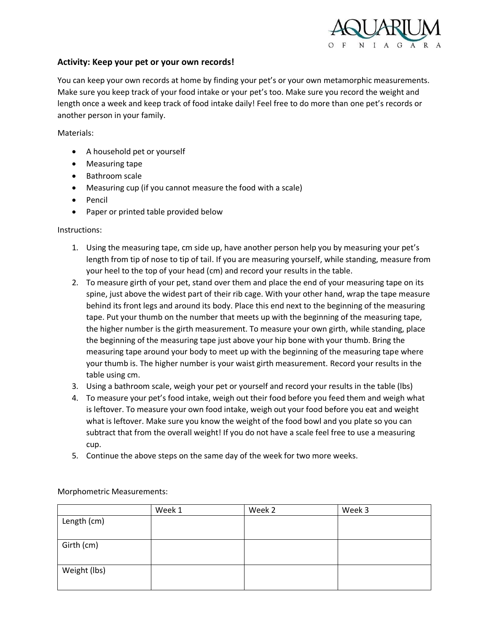

## **Activity: Keep your pet or your own records!**

You can keep your own records at home by finding your pet's or your own metamorphic measurements. Make sure you keep track of your food intake or your pet's too. Make sure you record the weight and length once a week and keep track of food intake daily! Feel free to do more than one pet's records or another person in your family.

Materials:

- A household pet or yourself
- Measuring tape
- Bathroom scale
- Measuring cup (if you cannot measure the food with a scale)
- Pencil
- Paper or printed table provided below

## Instructions:

- 1. Using the measuring tape, cm side up, have another person help you by measuring your pet's length from tip of nose to tip of tail. If you are measuring yourself, while standing, measure from your heel to the top of your head (cm) and record your results in the table.
- 2. To measure girth of your pet, stand over them and place the end of your measuring tape on its spine, just above the widest part of their rib cage. With your other hand, wrap the tape measure behind its front legs and around its body. Place this end next to the beginning of the measuring tape. Put your thumb on the number that meets up with the beginning of the measuring tape, the higher number is the girth measurement. To measure your own girth, while standing, place the beginning of the measuring tape just above your hip bone with your thumb. Bring the measuring tape around your body to meet up with the beginning of the measuring tape where your thumb is. The higher number is your waist girth measurement. Record your results in the table using cm.
- 3. Using a bathroom scale, weigh your pet or yourself and record your results in the table (lbs)
- 4. To measure your pet's food intake, weigh out their food before you feed them and weigh what is leftover. To measure your own food intake, weigh out your food before you eat and weight what is leftover. Make sure you know the weight of the food bowl and you plate so you can subtract that from the overall weight! If you do not have a scale feel free to use a measuring cup.
- 5. Continue the above steps on the same day of the week for two more weeks.

|              | Week 1 | Week 2 | Week 3 |
|--------------|--------|--------|--------|
| Length (cm)  |        |        |        |
|              |        |        |        |
| Girth (cm)   |        |        |        |
|              |        |        |        |
| Weight (lbs) |        |        |        |
|              |        |        |        |

Morphometric Measurements: